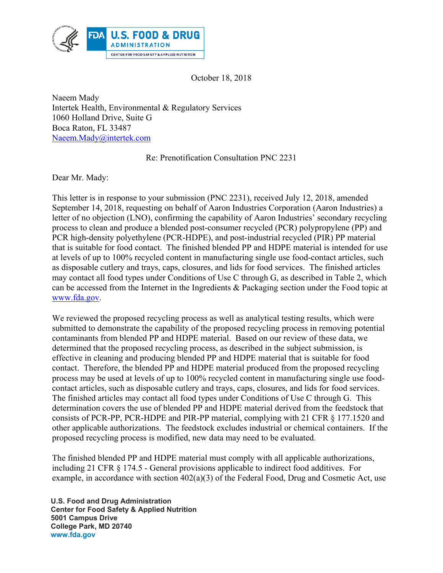

October 18, 2018

Naeem Mady Intertek Health, Environmental & Regulatory Services 1060 Holland Drive, Suite G Boca Raton, FL 33487 Naeem.Mady@intertek.com

## Re: Prenotification Consultation PNC 2231

Dear Mr. Mady:

This letter is in response to your submission (PNC 2231), received July 12, 2018, amended September 14, 2018, requesting on behalf of Aaron Industries Corporation (Aaron Industries) a letter of no objection (LNO), confirming the capability of Aaron Industries' secondary recycling process to clean and produce a blended post-consumer recycled (PCR) polypropylene (PP) and PCR high-density polyethylene (PCR-HDPE), and post-industrial recycled (PIR) PP material that is suitable for food contact. The finished blended PP and HDPE material is intended for use at levels of up to 100% recycled content in manufacturing single use food-contact articles, such as disposable cutlery and trays, caps, closures, and lids for food services. The finished articles may contact all food types under Conditions of Use C through G, as described in Table 2, which can be accessed from the Internet in the Ingredients & Packaging section under the Food topic at www.fda.gov.

We reviewed the proposed recycling process as well as analytical testing results, which were submitted to demonstrate the capability of the proposed recycling process in removing potential contaminants from blended PP and HDPE material. Based on our review of these data, we determined that the proposed recycling process, as described in the subject submission, is effective in cleaning and producing blended PP and HDPE material that is suitable for food contact. Therefore, the blended PP and HDPE material produced from the proposed recycling process may be used at levels of up to 100% recycled content in manufacturing single use foodcontact articles, such as disposable cutlery and trays, caps, closures, and lids for food services. The finished articles may contact all food types under Conditions of Use C through G. This determination covers the use of blended PP and HDPE material derived from the feedstock that consists of PCR-PP, PCR-HDPE and PIR-PP material, complying with 21 CFR § 177.1520 and other applicable authorizations. The feedstock excludes industrial or chemical containers. If the proposed recycling process is modified, new data may need to be evaluated.

The finished blended PP and HDPE material must comply with all applicable authorizations, including 21 CFR § 174.5 - General provisions applicable to indirect food additives. For example, in accordance with section  $402(a)(3)$  of the Federal Food, Drug and Cosmetic Act, use

 **U.S. Food and Drug Administration Center for Food Safety & Applied Nutrition 5001 Campus Drive College Park, MD 20740 www.fda.gov**